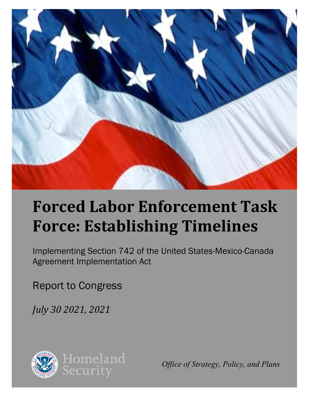

# **Forced Labor Enforcement Task Force: Establishing Timelines**

Implementing Section 742 of the United States-Mexico-Canada Agreement Implementation Act

Report to Congress

*July 30 2021, 2021*



*Office of Strategy, Policy, and Plans*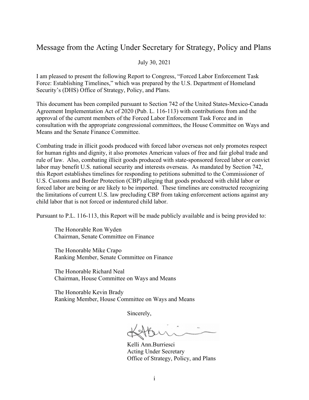#### Message from the Acting Under Secretary for Strategy, Policy and Plans

July 30, 2021

I am pleased to present the following Report to Congress, "Forced Labor Enforcement Task Force: Establishing Timelines," which was prepared by the U.S. Department of Homeland Security's (DHS) Office of Strategy, Policy, and Plans.

This document has been compiled pursuant to Section 742 of the United States-Mexico-Canada Agreement Implementation Act of 2020 (Pub. L. 116-113) with contributions from and the approval of the current members of the Forced Labor Enforcement Task Force and in consultation with the appropriate congressional committees, the House Committee on Ways and Means and the Senate Finance Committee.

Combating trade in illicit goods produced with forced labor overseas not only promotes respect for human rights and dignity, it also promotes American values of free and fair global trade and rule of law. Also, combating illicit goods produced with state-sponsored forced labor or convict labor may benefit U.S. national security and interests overseas. As mandated by Section 742, this Report establishes timelines for responding to petitions submitted to the Commissioner of U.S. Customs and Border Protection (CBP) alleging that goods produced with child labor or forced labor are being or are likely to be imported. These timelines are constructed recognizing the limitations of current U.S. law precluding CBP from taking enforcement actions against any child labor that is not forced or indentured child labor.

Pursuant to P.L. 116-113, this Report will be made publicly available and is being provided to:

The Honorable Ron Wyden Chairman, Senate Committee on Finance

The Honorable Mike Crapo Ranking Member, Senate Committee on Finance

The Honorable Richard Neal Chairman, House Committee on Ways and Means

The Honorable Kevin Brady Ranking Member, House Committee on Ways and Means

Sincerely,

Kelli Ann.Burriesci Acting Under Secretary Office of Strategy, Policy, and Plans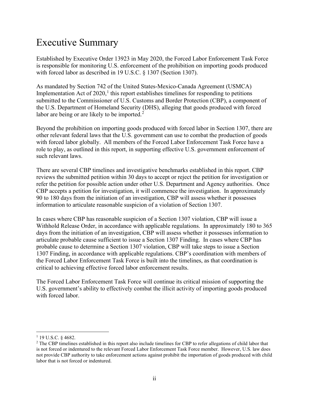# Executive Summary

Established by Executive Order 13923 in May 2020, the Forced Labor Enforcement Task Force is responsible for monitoring U.S. enforcement of the prohibition on importing goods produced with forced labor as described in 19 U.S.C. § 1307 (Section 1307).

As mandated by Section 742 of the United States-Mexico-Canada Agreement (USMCA) Implementation Act of  $2020$ ,<sup>[1](#page-2-0)</sup> this report establishes timelines for responding to petitions submitted to the Commissioner of U.S. Customs and Border Protection (CBP), a component of the U.S. Department of Homeland Security (DHS), alleging that goods produced with forced labor are being or are likely to be imported. $2$ 

Beyond the prohibition on importing goods produced with forced labor in Section 1307, there are other relevant federal laws that the U.S. government can use to combat the production of goods with forced labor globally. All members of the Forced Labor Enforcement Task Force have a role to play, as outlined in this report, in supporting effective U.S. government enforcement of such relevant laws.

There are several CBP timelines and investigative benchmarks established in this report. CBP reviews the submitted petition within 30 days to accept or reject the petition for investigation or refer the petition for possible action under other U.S. Department and Agency authorities. Once CBP accepts a petition for investigation, it will commence the investigation. In approximately 90 to 180 days from the initiation of an investigation, CBP will assess whether it possesses information to articulate reasonable suspicion of a violation of Section 1307.

In cases where CBP has reasonable suspicion of a Section 1307 violation, CBP will issue a Withhold Release Order, in accordance with applicable regulations. In approximately 180 to 365 days from the initiation of an investigation, CBP will assess whether it possesses information to articulate probable cause sufficient to issue a Section 1307 Finding. In cases where CBP has probable cause to determine a Section 1307 violation, CBP will take steps to issue a Section 1307 Finding, in accordance with applicable regulations. CBP's coordination with members of the Forced Labor Enforcement Task Force is built into the timelines, as that coordination is critical to achieving effective forced labor enforcement results.

The Forced Labor Enforcement Task Force will continue its critical mission of supporting the U.S. government's ability to effectively combat the illicit activity of importing goods produced with forced labor.

<span id="page-2-0"></span> $1$  19 U.S.C. § 4682.

<span id="page-2-1"></span><sup>&</sup>lt;sup>2</sup> The CBP timelines established in this report also include timelines for CBP to refer allegations of child labor that is not forced or indentured to the relevant Forced Labor Enforcement Task Force member. However, U.S. law does not provide CBP authority to take enforcement actions against prohibit the importation of goods produced with child labor that is not forced or indentured.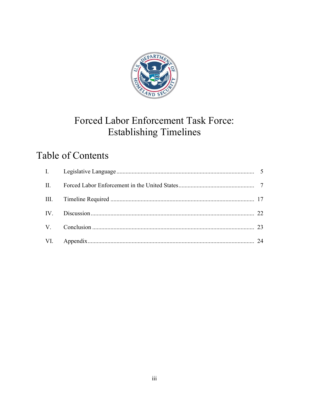

# Forced Labor Enforcement Task Force: **Establishing Timelines**

# **Table of Contents**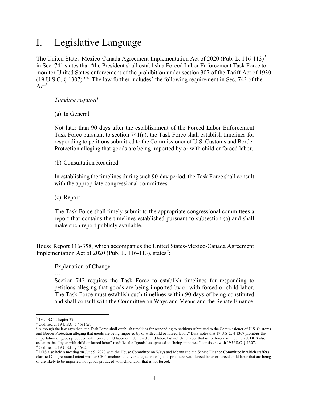### I. Legislative Language

The United States-Mexico-Canada Agreement Implementation Act of 2020 (Pub. L. 116-11[3](#page-4-0))<sup>3</sup> in Sec. 741 states that "the President shall establish a Forced Labor Enforcement Task Force to monitor United States enforcement of the prohibition under section 307 of the Tariff Act of 1930 (19 U.S.C.  $\S$  1307).<sup>[4](#page-4-1)</sup> The law further includes<sup>[5](#page-4-2)</sup> the following requirement in Sec. 742 of the Act<sup>[6](#page-4-3)</sup>:

#### *Timeline required*

(a) In General—

Not later than 90 days after the establishment of the Forced Labor Enforcement Task Force pursuant to section  $741(a)$ , the Task Force shall establish timelines for responding to petitions submitted to the Commissioner of U.S. Customs and Border Protection alleging that goods are being imported by or with child or forced labor.

(b) Consultation Required—

In establishing the timelines during such 90-day period, the Task Force shall consult with the appropriate congressional committees.

(c) Report—

The Task Force shall timely submit to the appropriate congressional committees a report that contains the timelines established pursuant to subsection (a) and shall make such report publicly available.

House Report 116-358, which accompanies the United States-Mexico-Canada Agreement Implementation Act of 2020 (Pub. L. 116-113), states<sup>[7](#page-4-4)</sup>:

Explanation of Change

…

Section 742 requires the Task Force to establish timelines for responding to petitions alleging that goods are being imported by or with forced or child labor. The Task Force must establish such timelines within 90 days of being constituted and shall consult with the Committee on Ways and Means and the Senate Finance

<span id="page-4-0"></span> $3$  19 U.S.C. Chapter 29.<br> $4$  Codified at 19 U.S.C.  $\S$  4681(a).

<span id="page-4-2"></span><span id="page-4-1"></span><sup>&</sup>lt;sup>5</sup> Although the law says that "the Task Force shall establish timelines for responding to petitions submitted to the Commissioner of U.S. Customs and Border Protection alleging that goods are being imported by or with child or forced labor," DHS notes that 19 U.S.C. § 1307 prohibits the importation of goods produced with forced child labor or indentured child labor, but not child labor that is not forced or indentured. DHS also assumes that "by or with child or forced labor" modifies the "goods" as opposed to "being imported," consistent with 19 U.S.C. § 1307. <sup>6</sup> Codified at 19 U.S.C. § 4682.

<span id="page-4-4"></span><span id="page-4-3"></span><sup>7</sup> DHS also held a meeting on June 9, 2020 with the House Committee on Ways and Means and the Senate Finance Committee in which staffers clarified Congressional intent was for CBP timelines to cover allegations of goods produced with forced labor or forced child labor that are being or are likely to be imported, not goods produced with child labor that is not forced.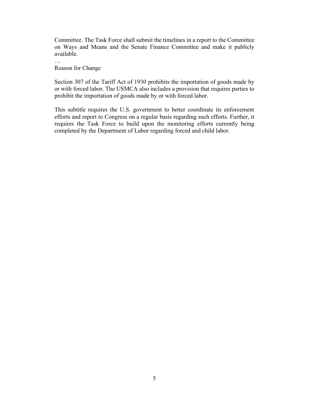Committee. The Task Force shall submit the timelines in a report to the Committee on Ways and Means and the Senate Finance Committee and make it publicly available.

… Reason for Change

Section 307 of the Tariff Act of 1930 prohibits the importation of goods made by or with forced labor. The USMCA also includes a provision that requires parties to prohibit the importation of goods made by or with forced labor.

This subtitle requires the U.S. government to better coordinate its enforcement efforts and report to Congress on a regular basis regarding such efforts. Further, it requires the Task Force to build upon the monitoring efforts currently being completed by the Department of Labor regarding forced and child labor.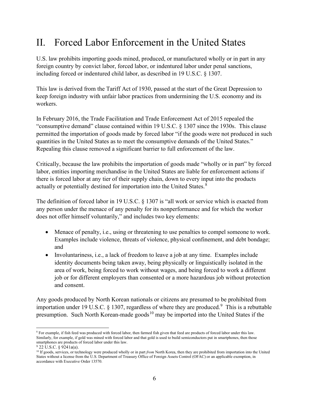# II. Forced Labor Enforcement in the United States

U.S. law prohibits importing goods mined, produced, or manufactured wholly or in part in any foreign country by convict labor, forced labor, or indentured labor under penal sanctions, including forced or indentured child labor, as described in 19 U.S.C. § 1307.

This law is derived from the Tariff Act of 1930, passed at the start of the Great Depression to keep foreign industry with unfair labor practices from undermining the U.S. economy and its workers.

In February 2016, the Trade Facilitation and Trade Enforcement Act of 2015 repealed the "consumptive demand" clause contained within 19 U.S.C. § 1307 since the 1930s. This clause permitted the importation of goods made by forced labor "if the goods were not produced in such quantities in the United States as to meet the consumptive demands of the United States." Repealing this clause removed a significant barrier to full enforcement of the law.

Critically, because the law prohibits the importation of goods made "wholly or in part" by forced labor, entities importing merchandise in the United States are liable for enforcement actions if there is forced labor at any tier of their supply chain, down to every input into the products actually or potentially destined for importation into the United States.<sup>[8](#page-6-0)</sup>

The definition of forced labor in 19 U.S.C. § 1307 is "all work or service which is exacted from any person under the menace of any penalty for its nonperformance and for which the worker does not offer himself voluntarily," and includes two key elements:

- Menace of penalty, i.e., using or threatening to use penalties to compel someone to work. Examples include violence, threats of violence, physical confinement, and debt bondage; and
- Involuntariness, i.e., a lack of freedom to leave a job at any time. Examples include identity documents being taken away, being physically or linguistically isolated in the area of work, being forced to work without wages, and being forced to work a different job or for different employers than consented or a more hazardous job without protection and consent.

Any goods produced by North Korean nationals or citizens are presumed to be prohibited from importation under 1[9](#page-6-1) U.S.C.  $\S$  1307, regardless of where they are produced.<sup>9</sup> This is a rebuttable presumption. Such North Korean-made goods<sup>[10](#page-6-2)</sup> may be imported into the United States if the

<span id="page-6-0"></span><sup>8</sup> For example, if fish feed was produced with forced labor, then farmed fish given that feed are products of forced labor under this law. Similarly, for example, if gold was mined with forced labor and that gold is used to build semiconductors put in smartphones, then those smartphones are products of forced labor under this law.<br>9 22 U.S.C. § 9241a(a).

<span id="page-6-1"></span>

<span id="page-6-2"></span><sup>&</sup>lt;sup>10</sup> If goods, services, or technology were produced wholly or in part *from* North Korea, then they are prohibited from importation into the United States without a license from the U.S. Department of Treasury Office of Foreign Assets Control (OFAC) or an applicable exemption, in accordance with Executive Order 13570.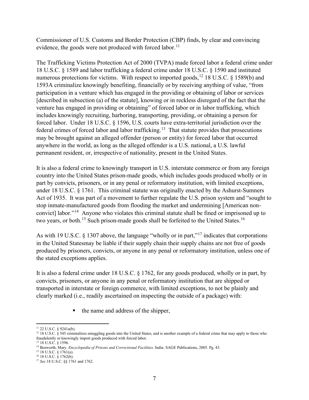Commissioner of U.S. Customs and Border Protection (CBP) finds, by clear and convincing evidence, the goods were not produced with forced labor.<sup>11</sup>

The Trafficking Victims Protection Act of 2000 (TVPA) made forced labor a federal crime under 18 U.S.C. § 1589 and labor trafficking a federal crime under 18 U.S.C. § 1590 and instituted numerous protections for victims. With respect to imported goods,<sup>12</sup> 18 U.S.C. § 1589(b) and 1593A criminalize knowingly benefiting, financially or by receiving anything of value, "from participation in a venture which has engaged in the providing or obtaining of labor or services [described in subsection (a) of the statute], knowing or in reckless disregard of the fact that the venture has engaged in providing or obtaining" of forced labor or in labor trafficking, which includes knowingly recruiting, harboring, transporting, providing, or obtaining a person for forced labor. Under 18 U.S.C. § 1596, U.S. courts have extra-territorial jurisdiction over the federal crimes of forced labor and labor trafficking.<sup>13</sup> That statute provides that prosecutions may be brought against an alleged offender (person or entity) for forced labor that occurred anywhere in the world, as long as the alleged offender is a U.S. national, a U.S. lawful permanent resident, or, irrespective of nationality, present in the United States.

It is also a federal crime to knowingly transport in U.S. interstate commerce or from any foreign country into the United States prison-made goods, which includes goods produced wholly or in part by convicts, prisoners, or in any penal or reformatory institution, with limited exceptions, under 18 U.S.C. § 1761. This criminal statute was originally enacted by the Ashurst-Sumners Act of 1935. It was part of a movement to further regulate the U.S. prison system and "sought to stop inmate-manufactured goods from flooding the market and undermining [American nonconvict] labor."[14](#page-7-3) Anyone who violates this criminal statute shall be fined or imprisoned up to two years, or both.<sup>[15](#page-7-4)</sup> Such prison-made goods shall be forfeited to the United States.<sup>[16](#page-7-5)</sup>

As with 19 U.S.C.  $\S$  1307 above, the language "wholly or in part,"<sup>[17](#page-7-6)</sup> indicates that corporations in the United Statesmay be liable if their supply chain their supply chains are not free of goods produced by prisoners, convicts, or anyone in any penal or reformatory institution, unless one of the stated exceptions applies.

It is also a federal crime under 18 U.S.C. § 1762, for any goods produced, wholly or in part, by convicts, prisoners, or anyone in any penal or reformatory institution that are shipped or transported in interstate or foreign commerce, with limited exceptions, to not be plainly and clearly marked (i.e., readily ascertained on inspecting the outside of a package) with:

the name and address of the shipper,

<span id="page-7-1"></span><span id="page-7-0"></span><sup>&</sup>lt;sup>11</sup> 22 U.S.C. § 9241a(b).<br><sup>12</sup> 18 U.S.C. § 545 criminalizes smuggling goods into the United States, and is another example of a federal crime that may apply to those who fraudulently or knowingly import goods produced with forced labor.

<sup>13</sup> 18 U.S.C. § 1596.

<span id="page-7-3"></span><span id="page-7-2"></span><sup>&</sup>lt;sup>14</sup> Bosworth, Mary. *Encyclopedia of Prisons and Correctional Facilities*. India: SAGE Publications, 2005. Pg. 43.<br><sup>15</sup> 18 U.S.C. § 1761(a).

<span id="page-7-6"></span><span id="page-7-5"></span><span id="page-7-4"></span><sup>16 18</sup> U.S.C. § 1762(b). 16 18 U.S.C. § 1762(b).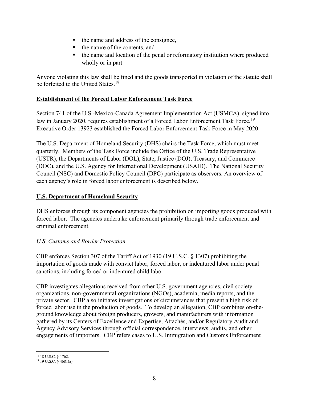- $\blacksquare$  the name and address of the consignee,
- the nature of the contents, and
- the name and location of the penal or reformatory institution where produced wholly or in part

Anyone violating this law shall be fined and the goods transported in violation of the statute shall be forfeited to the United States.<sup>18</sup>

#### **Establishment of the Forced Labor Enforcement Task Force**

Section 741 of the U.S.-Mexico-Canada Agreement Implementation Act (USMCA), signed into law in January 2020, requires establishment of a Forced Labor Enforcement Task Force.<sup>[19](#page-8-1)</sup> Executive Order 13923 established the Forced Labor Enforcement Task Force in May 2020.

The U.S. Department of Homeland Security (DHS) chairs the Task Force, which must meet quarterly. Members of the Task Force include the Office of the U.S. Trade Representative (USTR), the Departments of Labor (DOL), State, Justice (DOJ), Treasury, and Commerce (DOC), and the U.S. Agency for International Development (USAID). The National Security Council (NSC) and Domestic Policy Council (DPC) participate as observers. An overview of each agency's role in forced labor enforcement is described below.

#### **U.S. Department of Homeland Security**

DHS enforces through its component agencies the prohibition on importing goods produced with forced labor. The agencies undertake enforcement primarily through trade enforcement and criminal enforcement.

#### *U.S. Customs and Border Protection*

CBP enforces Section 307 of the Tariff Act of 1930 (19 U.S.C. § 1307) prohibiting the importation of goods made with convict labor, forced labor, or indentured labor under penal sanctions, including forced or indentured child labor.

CBP investigates allegations received from other U.S. government agencies, civil society organizations, non-governmental organizations (NGOs), academia, media reports, and the private sector. CBP also initiates investigations of circumstances that present a high risk of forced labor use in the production of goods. To develop an allegation, CBP combines on-theground knowledge about foreign producers, growers, and manufacturers with information gathered by its Centers of Excellence and Expertise, Attachés, and/or Regulatory Audit and Agency Advisory Services through official correspondence, interviews, audits, and other engagements of importers. CBP refers cases to U.S. Immigration and Customs Enforcement

<span id="page-8-0"></span><sup>18</sup> 18 U.S.C. § 1762.

<span id="page-8-1"></span> $19$  U.S.C.  $\check{\S}$  4681(a).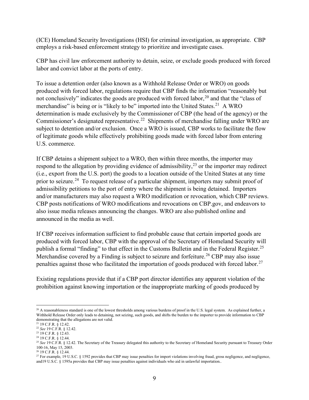(ICE) Homeland Security Investigations (HSI) for criminal investigation, as appropriate. CBP employs a risk-based enforcement strategy to prioritize and investigate cases.

CBP has civil law enforcement authority to detain, seize, or exclude goods produced with forced labor and convict labor at the ports of entry.

To issue a detention order (also known as a Withhold Release Order or WRO) on goods produced with forced labor, regulations require that CBP finds the information "reasonably but not conclusively" indicates the goods are produced with forced labor,  $^{20}$  $^{20}$  $^{20}$  and that the "class of merchandise" is being or is "likely to be" imported into the United States.<sup>21</sup> A WRO determination is made exclusively by the Commissioner of CBP (the head of the agency) or the Commissioner's designated representative.<sup>22</sup> Shipments of merchandise falling under WRO are subject to detention and/or exclusion. Once a WRO is issued, CBP works to facilitate the flow of legitimate goods while effectively prohibiting goods made with forced labor from entering U.S. commerce.

If CBP detains a shipment subject to a WRO, then within three months, the importer may respond to the allegation by providing evidence of admissibility,  $2<sup>3</sup>$  or the importer may redirect (i.e., export from the U.S. port) the goods to a location outside of the United States at any time prior to seizure.<sup>[24](#page-9-4)</sup> To request release of a particular shipment, importers may submit proof of admissibility petitions to the port of entry where the shipment is being detained. Importers and/or manufacturers may also request a WRO modification or revocation, which CBP reviews. CBP posts notifications of WRO modifications and revocations on CBP.gov, and endeavors to also issue media releases announcing the changes. WRO are also published online and announced in the media as well.

If CBP receives information sufficient to find probable cause that certain imported goods are produced with forced labor, CBP with the approval of the Secretary of Homeland Security will publish a formal "finding" to that effect in the Customs Bulletin and in the Federal Register.<sup>[25](#page-9-5)</sup> Merchandise covered by a Finding is subject to seizure and forfeiture.<sup>[26](#page-9-6)</sup> CBP may also issue penalties against those who facilitated the importation of goods produced with forced labor.<sup>[27](#page-9-7)</sup>

Existing regulations provide that if a CBP port director identifies any apparent violation of the prohibition against knowing importation or the inappropriate marking of goods produced by

<span id="page-9-0"></span> $20$  A reasonableness standard is one of the lowest thresholds among various burdens of proof in the U.S. legal system. As explained further, a Withhold Release Order only leads to detaining, not seizing, such goods, and shifts the burden to the importer to provide information to CBP demonstrating that the allegations are not valid.

<span id="page-9-1"></span><sup>21</sup> 19 C.F.R. § 12.42.

<span id="page-9-2"></span><sup>22</sup> *See* 19 C.F.R. § 12.42.

<span id="page-9-3"></span><sup>23</sup> 19 C.F.R. § 12.43.

<span id="page-9-4"></span><sup>24</sup> 19 C.F.R. § 12.44.

<span id="page-9-5"></span><sup>&</sup>lt;sup>25</sup> See 19 C.F.R. § 12.42. The Secretary of the Treasury delegated this authority to the Secretary of Homeland Security pursuant to Treasury Order 100-16, May 15, 2003.

<sup>&</sup>lt;sup>26</sup> 19 C.F.R. § 12.44.

<span id="page-9-7"></span><span id="page-9-6"></span><sup>&</sup>lt;sup>27</sup> For example, 19 U.S.C. § 1592 provides that CBP may issue penalties for import violations involving fraud, gross negligence, and negligence, and19 U.S.C. § 1595a provides that CBP may issue penalties against individuals who aid in unlawful importation..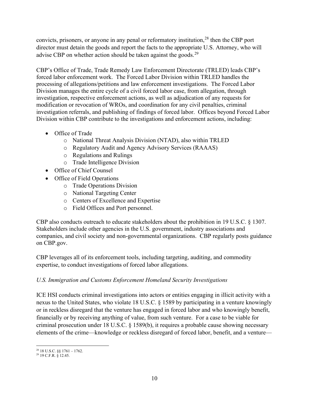convicts, prisoners, or anyone in any penal or reformatory institution,  $28$  then the CBP port director must detain the goods and report the facts to the appropriate U.S. Attorney, who will advise CBP on whether action should be taken against the goods.[29](#page-10-1) 

CBP's Office of Trade, Trade Remedy Law Enforcement Directorate (TRLED) leads CBP's forced labor enforcement work. The Forced Labor Division within TRLED handles the processing of allegations/petitions and law enforcement investigations. The Forced Labor Division manages the entire cycle of a civil forced labor case, from allegation, through investigation, respective enforcement actions, as well as adjudication of any requests for modification or revocation of WROs, and coordination for any civil penalties, criminal investigation referrals, and publishing of findings of forced labor. Offices beyond Forced Labor Division within CBP contribute to the investigations and enforcement actions, including:

- Office of Trade
	- o National Threat Analysis Division (NTAD), also within TRLED
	- o Regulatory Audit and Agency Advisory Services (RAAAS)
	- o Regulations and Rulings
	- o Trade Intelligence Division
- Office of Chief Counsel
- Office of Field Operations
	- o Trade Operations Division
	- o National Targeting Center
	- o Centers of Excellence and Expertise
	- o Field Offices and Port personnel.

CBP also conducts outreach to educate stakeholders about the prohibition in 19 U.S.C. § 1307. Stakeholders include other agencies in the U.S. government, industry associations and companies, and civil society and non-governmental organizations. CBP regularly posts guidance on CBP.gov.

CBP leverages all of its enforcement tools, including targeting, auditing, and commodity expertise, to conduct investigations of forced labor allegations.

#### *U.S. Immigration and Customs Enforcement Homeland Security Investigations*

ICE HSI conducts criminal investigations into actors or entities engaging in illicit activity with a nexus to the United States, who violate 18 U.S.C. § 1589 by participating in a venture knowingly or in reckless disregard that the venture has engaged in forced labor and who knowingly benefit, financially or by receiving anything of value, from such venture. For a case to be viable for criminal prosecution under 18 U.S.C. § 1589(b), it requires a probable cause showing necessary elements of the crime—knowledge or reckless disregard of forced labor, benefit, and a venture—

<span id="page-10-0"></span> $28$  18 U.S.C. §§ 1761 – 1762.

<span id="page-10-1"></span><sup>29</sup> 19 C.F.R. § 12.45.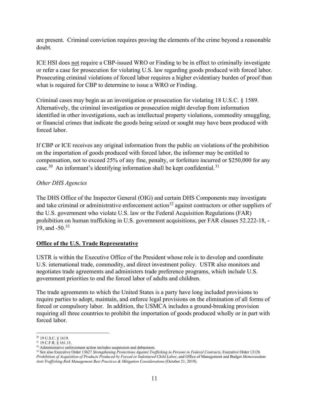are present. Criminal conviction requires proving the elements of the crime beyond a reasonable doubt.

ICE HSI does not require a CBP-issued WRO or Finding to be in effect to criminally investigate or refer a case for prosecution for violating U.S. law regarding goods produced with forced labor. Prosecuting criminal violations of forced labor requires a higher evidentiary burden of proof than what is required for CBP to determine to issue a WRO or Finding.

Criminal cases may begin as an investigation or prosecution for violating 18 U.S.C. § 1589. Alternatively, the criminal investigation or prosecution might develop from information identified in other investigations, such as intellectual property violations, commodity smuggling, or financial crimes that indicate the goods being seized or sought may have been produced with forced labor.

If CBP or ICE receives any original information from the public on violations of the prohibition on the importation of goods produced with forced labor, the informer may be entitled to compensation, not to exceed 25% of any fine, penalty, or forfeiture incurred or \$250,000 for any case.<sup>30</sup> An informant's identifying information shall be kept confidential.<sup>31</sup>

#### *Other DHS Agencies*

The DHS Office of the Inspector General (OIG) and certain DHS Components may investigate and take criminal or administrative enforcement action<sup>32</sup> against contractors or other suppliers of the U.S. government who violate U.S. law or the Federal Acquisition Regulations (FAR) prohibition on human trafficking in U.S. government acquisitions, per FAR clauses 52.222-18, - 19, and -50.33

#### **Office of the U.S. Trade Representative**

USTR is within the Executive Office of the President whose role is to develop and coordinate U.S. international trade, commodity, and direct investment policy. USTR also monitors and negotiates trade agreements and administers trade preference programs, which include U.S. government priorities to end the forced labor of adults and children.

The trade agreements to which the United States is a party have long included provisions to require parties to adopt, maintain, and enforce legal provisions on the elimination of all forms of forced or compulsory labor. In addition, the USMCA includes a ground-breaking provision requiring all three countries to prohibit the importation of goods produced wholly or in part with forced labor.

<sup>30</sup> 19 U.S.C. § 1619.

<sup>&</sup>lt;sup>31</sup> 19 C.F.R.  $\stackrel{8}{\cancel{5}}$  161.15.<br><sup>32</sup> Administrative enforcement action includes suspension and debarment.

<sup>&</sup>lt;sup>33</sup> See also Executive Order 13627 *Strengthening Protections Against Trafficking in Persons in Federal Contracts*, Executive Order 13126 *Prohibition of Acquisition of Products Produced by Forced or Indentured Child Labor*, and Office of Management and Budget *Memorandum*: *Anti-Trafficking Risk Management Best Practices & Mitigation Considerations* (October 21, 2019).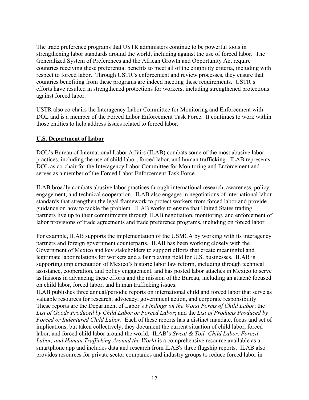The trade preference programs that USTR administers continue to be powerful tools in strengthening labor standards around the world, including against the use of forced labor. The Generalized System of Preferences and the African Growth and Opportunity Act require countries receiving these preferential benefits to meet all of the eligibility criteria, including with respect to forced labor. Through USTR's enforcement and review processes, they ensure that countries benefiting from these programs are indeed meeting these requirements. USTR's efforts have resulted in strengthened protections for workers, including strengthened protections against forced labor.

USTR also co-chairs the Interagency Labor Committee for Monitoring and Enforcement with DOL and is a member of the Forced Labor Enforcement Task Force. It continues to work within those entities to help address issues related to forced labor.

#### **U.S. Department of Labor**

DOL's Bureau of International Labor Affairs (ILAB) combats some of the most abusive labor practices, including the use of child labor, forced labor, and human trafficking. ILAB represents DOL as co-chair for the Interagency Labor Committee for Monitoring and Enforcement and serves as a member of the Forced Labor Enforcement Task Force.

ILAB broadly combats abusive labor practices through international research, awareness, policy engagement, and technical cooperation. ILAB also engages in negotiations of international labor standards that strengthen the legal framework to protect workers from forced labor and provide guidance on how to tackle the problem. ILAB works to ensure that United States trading partners live up to their commitments through ILAB negotiation, monitoring, and enforcement of labor provisions of trade agreements and trade preference programs, including on forced labor.

For example, ILAB supports the implementation of the USMCA by working with its interagency partners and foreign government counterparts. ILAB has been working closely with the Government of Mexico and key stakeholders to support efforts that create meaningful and legitimate labor relations for workers and a fair playing field for U.S. businesses. ILAB is supporting implementation of Mexico's historic labor law reform, including through technical assistance, cooperation, and policy engagement, and has posted labor attachés in Mexico to serve as liaisons in advancing these efforts and the mission of the Bureau, including an attaché focused on child labor, forced labor, and human trafficking issues.

ILAB publishes three annual/periodic reports on international child and forced labor that serve as valuable resources for research, advocacy, government action, and corporate responsibility. These reports are the Department of Labor's *Findings on the Worst Forms of Child Labor*; the *List of Goods Produced by Child Labor or Forced Labor*; and the *List of Products Produced by Forced or Indentured Child Labor*. Each of these reports has a distinct mandate, focus and set of implications, but taken collectively, they document the current situation of child labor, forced labor, and forced child labor around the world. ILAB's *Sweat & Toil: Child Labor, Forced Labor, and Human Trafficking Around the World* is a comprehensive resource available as a smartphone app and includes data and research from ILAB's three flagship reports. ILAB also provides resources for private sector companies and industry groups to reduce forced labor in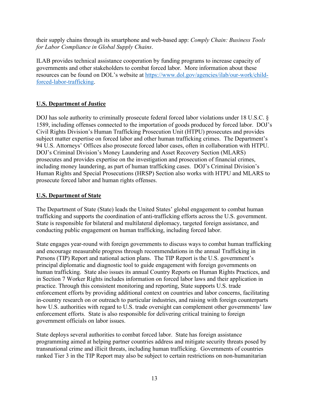their supply chains through its smartphone and web-based app: *Comply Chain: Business Tools for Labor Compliance in Global Supply Chains*.

ILAB provides technical assistance cooperation by funding programs to increase capacity of governments and other stakeholders to combat forced labor. More information about these resources can be found on DOL's website at [https://www.dol.gov/agencies/ilab/our-work/child](https://www.dol.gov/agencies/ilab/our-work/child-forced-labor-trafficking)[forced-labor-trafficking.](https://www.dol.gov/agencies/ilab/our-work/child-forced-labor-trafficking)

#### **U.S. Department of Justice**

DOJ has sole authority to criminally prosecute federal forced labor violations under 18 U.S.C. § 1589, including offenses connected to the importation of goods produced by forced labor. DOJ's Civil Rights Division's Human Trafficking Prosecution Unit (HTPU) prosecutes and provides subject matter expertise on forced labor and other human trafficking crimes. The Department's 94 U.S. Attorneys' Offices also prosecute forced labor cases, often in collaboration with HTPU. DOJ's Criminal Division's Money Laundering and Asset Recovery Section (MLARS) prosecutes and provides expertise on the investigation and prosecution of financial crimes, including money laundering, as part of human trafficking cases. DOJ's Criminal Division's Human Rights and Special Prosecutions (HRSP) Section also works with HTPU and MLARS to prosecute forced labor and human rights offenses.

#### **U.S. Department of State**

The Department of State (State) leads the United States' global engagement to combat human trafficking and supports the coordination of anti-trafficking efforts across the U.S. government. State is responsible for bilateral and multilateral diplomacy, targeted foreign assistance, and conducting public engagement on human trafficking, including forced labor.

State engages year-round with foreign governments to discuss ways to combat human trafficking and encourage measurable progress through recommendations in the annual Trafficking in Persons (TIP) Report and national action plans. The TIP Report is the U.S. government's principal diplomatic and diagnostic tool to guide engagement with foreign governments on human trafficking. State also issues its annual Country Reports on Human Rights Practices, and in Section 7 Worker Rights includes information on forced labor laws and their application in practice. Through this consistent monitoring and reporting, State supports U.S. trade enforcement efforts by providing additional context on countries and labor concerns, facilitating in-country research on or outreach to particular industries, and raising with foreign counterparts how U.S. authorities with regard to U.S. trade oversight can complement other governments' law enforcement efforts. State is also responsible for delivering critical training to foreign government officials on labor issues.

State deploys several authorities to combat forced labor. State has foreign assistance programming aimed at helping partner countries address and mitigate security threats posed by transnational crime and illicit threats, including human trafficking. Governments of countries ranked Tier 3 in the TIP Report may also be subject to certain restrictions on non-humanitarian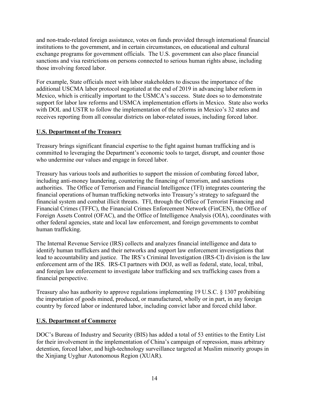and non-trade-related foreign assistance, votes on funds provided through international financial institutions to the government, and in certain circumstances, on educational and cultural exchange programs for government officials. The U.S. government can also place financial sanctions and visa restrictions on persons connected to serious human rights abuse, including those involving forced labor.

For example, State officials meet with labor stakeholders to discuss the importance of the additional USCMA labor protocol negotiated at the end of 2019 in advancing labor reform in Mexico, which is critically important to the USMCA's success. State does so to demonstrate support for labor law reforms and USMCA implementation efforts in Mexico. State also works with DOL and USTR to follow the implementation of the reforms in Mexico's 32 states and receives reporting from all consular districts on labor-related issues, including forced labor.

#### **U.S. Department of the Treasury**

Treasury brings significant financial expertise to the fight against human trafficking and is committed to leveraging the Department's economic tools to target, disrupt, and counter those who undermine our values and engage in forced labor.

Treasury has various tools and authorities to support the mission of combating forced labor, including anti-money laundering, countering the financing of terrorism, and sanctions authorities. The Office of Terrorism and Financial Intelligence (TFI) integrates countering the financial operations of human trafficking networks into Treasury's strategy to safeguard the financial system and combat illicit threats. TFI, through the Office of Terrorist Financing and Financial Crimes (TFFC), the Financial Crimes Enforcement Network (FinCEN), the Office of Foreign Assets Control (OFAC), and the Office of Intelligence Analysis (OIA), coordinates with other federal agencies, state and local law enforcement, and foreign governments to combat human trafficking.

The Internal Revenue Service (IRS) collects and analyzes financial intelligence and data to identify human traffickers and their networks and support law enforcement investigations that lead to accountability and justice. The IRS's Criminal Investigation (IRS-CI) division is the law enforcement arm of the IRS. IRS-CI partners with DOJ, as well as federal, state, local, tribal, and foreign law enforcement to investigate labor trafficking and sex trafficking cases from a financial perspective.

Treasury also has authority to approve regulations implementing 19 U.S.C. § 1307 prohibiting the importation of goods mined, produced, or manufactured, wholly or in part, in any foreign country by forced labor or indentured labor, including convict labor and forced child labor.

#### **U.S. Department of Commerce**

DOC's Bureau of Industry and Security (BIS) has added a total of 53 entities to the Entity List for their involvement in the implementation of China's campaign of repression, mass arbitrary detention, forced labor, and high-technology surveillance targeted at Muslim minority groups in the Xinjiang Uyghur Autonomous Region (XUAR).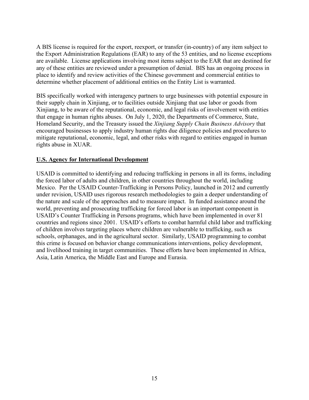A BIS license is required for the export, reexport, or transfer (in-country) of any item subject to the Export Administration Regulations (EAR) to any of the 53 entities, and no license exceptions are available. License applications involving most items subject to the EAR that are destined for any of these entities are reviewed under a presumption of denial. BIS has an ongoing process in place to identify and review activities of the Chinese government and commercial entities to determine whether placement of additional entities on the Entity List is warranted.

BIS specifically worked with interagency partners to urge businesses with potential exposure in their supply chain in Xinjiang, or to facilities outside Xinjiang that use labor or goods from Xinjiang, to be aware of the reputational, economic, and legal risks of involvement with entities that engage in human rights abuses. On July 1, 2020, the Departments of Commerce, State, Homeland Security, and the Treasury issued the *Xinjiang Supply Chain Business Advisory* that encouraged businesses to apply industry human rights due diligence policies and procedures to mitigate reputational, economic, legal, and other risks with regard to entities engaged in human rights abuse in XUAR.

#### **U.S. Agency for International Development**

USAID is committed to identifying and reducing trafficking in persons in all its forms, including the forced labor of adults and children, in other countries throughout the world, including Mexico. Per the USAID Counter-Trafficking in Persons Policy, launched in 2012 and currently under revision, USAID uses rigorous research methodologies to gain a deeper understanding of the nature and scale of the approaches and to measure impact. In funded assistance around the world, preventing and prosecuting trafficking for forced labor is an important component in USAID's Counter Trafficking in Persons programs, which have been implemented in over 81 countries and regions since 2001. USAID's efforts to combat harmful child labor and trafficking of children involves targeting places where children are vulnerable to trafficking, such as schools, orphanages, and in the agricultural sector. Similarly, USAID programming to combat this crime is focused on behavior change communications interventions, policy development, and livelihood training in target communities. These efforts have been implemented in Africa, Asia, Latin America, the Middle East and Europe and Eurasia.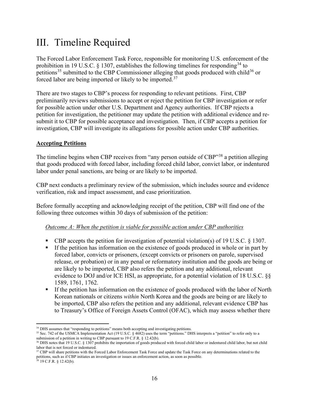## III. Timeline Required

The Forced Labor Enforcement Task Force, responsible for monitoring U.S. enforcement of the prohibition in 19 U.S.C. § 1307, establishes the following timelines for responding<sup>[34](#page-16-0)</sup> to petitions<sup>[35](#page-16-1)</sup> submitted to the CBP Commissioner alleging that goods produced with child<sup>[36](#page-16-2)</sup> or forced labor are being imported or likely to be imported.[37](#page-16-3)

There are two stages to CBP's process for responding to relevant petitions. First, CBP preliminarily reviews submissions to accept or reject the petition for CBP investigation or refer for possible action under other U.S. Department and Agency authorities. If CBP rejects a petition for investigation, the petitioner may update the petition with additional evidence and resubmit it to CBP for possible acceptance and investigation. Then, if CBP accepts a petition for investigation, CBP will investigate its allegations for possible action under CBP authorities.

#### **Accepting Petitions**

The timeline begins when CBP receives from "any person outside of CBP"<sup>[38](#page-16-4)</sup> a petition alleging that goods produced with forced labor, including forced child labor, convict labor, or indentured labor under penal sanctions, are being or are likely to be imported.

CBP next conducts a preliminary review of the submission, which includes source and evidence verification, risk and impact assessment, and case prioritization.

Before formally accepting and acknowledging receipt of the petition, CBP will find one of the following three outcomes within 30 days of submission of the petition:

#### *Outcome A: When the petition is viable for possible action under CBP authorities*

- CBP accepts the petition for investigation of potential violation(s) of 19 U.S.C. § 1307.
- If the petition has information on the existence of goods produced in whole or in part by forced labor, convicts or prisoners, (except convicts or prisoners on parole, supervised release, or probation) or in any penal or reformatory institution and the goods are being or are likely to be imported, CBP also refers the petition and any additional, relevant evidence to DOJ and/or ICE HSI, as appropriate, for a potential violation of 18 U.S.C. §§ 1589, 1761, 1762.
- If the petition has information on the existence of goods produced with the labor of North Korean nationals or citizens *within* North Korea and the goods are being or are likely to be imported, CBP also refers the petition and any additional, relevant evidence CBP has to Treasury's Office of Foreign Assets Control (OFAC), which may assess whether there

<span id="page-16-1"></span><span id="page-16-0"></span><sup>&</sup>lt;sup>34</sup> DHS assumes that "responding to petitions" means both accepting and investigating petitions.<br><sup>35</sup> Sec. 742 of the USMCA Implementation Act (19 U.S.C. § 4682) uses the term "petitions." DHS interprets a "petition" to

<span id="page-16-2"></span><sup>&</sup>lt;sup>36</sup> DHS notes that 19 U.S.C. § 1307 prohibits the importation of goods produced with forced child labor or indentured child labor, but not child labor that is not forced or indentured.

<span id="page-16-3"></span><sup>&</sup>lt;sup>37</sup> CBP will share petitions with the Forced Labor Enforcement Task Force and update the Task Force on any determinations related to the petitions, such as if CBP initiates an investigation or issues an enforcement action, as soon as possible.

<span id="page-16-4"></span> $38$  19 C.F.R. § 12.42(b).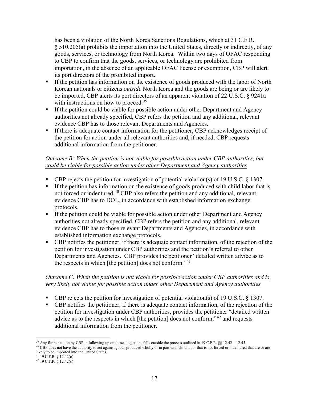has been a violation of the North Korea Sanctions Regulations, which at 31 C.F.R. § 510.205(a) prohibits the importation into the United States, directly or indirectly, of any goods, services, or technology from North Korea. Within two days of OFAC responding to CBP to confirm that the goods, services, or technology are prohibited from importation, in the absence of an applicable OFAC license or exemption, CBP will alert its port directors of the prohibited import.

- If the petition has information on the existence of goods produced with the labor of North Korean nationals or citizens *outside* North Korea and the goods are being or are likely to be imported, CBP alerts its port directors of an apparent violation of 22 U.S.C. § 9241a with instructions on how to proceed.<sup>[39](#page-17-0)</sup>
- If the petition could be viable for possible action under other Department and Agency authorities not already specified, CBP refers the petition and any additional, relevant evidence CBP has to those relevant Departments and Agencies.
- If there is adequate contact information for the petitioner, CBP acknowledges receipt of the petition for action under all relevant authorities and, if needed, CBP requests additional information from the petitioner.

#### *Outcome B: When the petition is not viable for possible action under CBP authorities, but could be viable for possible action under other Department and Agency authorities*

- CBP rejects the petition for investigation of potential violation(s) of 19 U.S.C. § 1307.
- If the petition has information on the existence of goods produced with child labor that is not forced or indentured,<sup>40</sup> CBP also refers the petition and any additional, relevant evidence CBP has to DOL, in accordance with established information exchange protocols.
- If the petition could be viable for possible action under other Department and Agency authorities not already specified, CBP refers the petition and any additional, relevant evidence CBP has to those relevant Departments and Agencies, in accordance with established information exchange protocols.
- CBP notifies the petitioner, if there is adequate contact information, of the rejection of the petition for investigation under CBP authorities and the petition's referral to other Departments and Agencies. CBP provides the petitioner "detailed written advice as to the respects in which [the petition] does not conform."<sup>[41](#page-17-2)</sup>

#### *Outcome C: When the petition is not viable for possible action under CBP authorities and is very likely not viable for possible action under other Department and Agency authorities*

- CBP rejects the petition for investigation of potential violation(s) of 19 U.S.C. § 1307.
- CBP notifies the petitioner, if there is adequate contact information, of the rejection of the petition for investigation under CBP authorities, provides the petitioner "detailed written advice as to the respects in which [the petition] does not conform,"<sup>[42](#page-17-3)</sup> and requests additional information from the petitioner.

<span id="page-17-0"></span><sup>&</sup>lt;sup>39</sup> Any further action by CBP in following up on these allegations falls outside the process outlined in 19 C.F.R.  $\S$  [12.42 – 12.45.<br><sup>40</sup> CBP does not have the authority to act against goods produced wholly or in part

<span id="page-17-1"></span>likely to be imported into the United States.

 $^{41}$  19 C.F.R. § 12.42(c)

<span id="page-17-3"></span><span id="page-17-2"></span> $42$  19 C.F.R. § 12.42(c)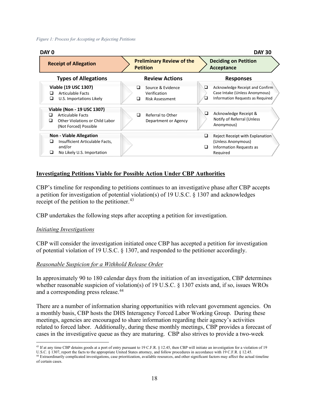#### *Figure 1: Process for Accepting or Rejecting Petitions*

| DAY 0<br><b>DAY 30</b>                                                                                                                                                                                                 |                                                                                                                         |                                                                                                                                                                                           |  |  |
|------------------------------------------------------------------------------------------------------------------------------------------------------------------------------------------------------------------------|-------------------------------------------------------------------------------------------------------------------------|-------------------------------------------------------------------------------------------------------------------------------------------------------------------------------------------|--|--|
| <b>Receipt of Allegation</b>                                                                                                                                                                                           | <b>Preliminary Review of the</b><br><b>Petition</b>                                                                     | <b>Deciding on Petition</b><br>Acceptance                                                                                                                                                 |  |  |
| <b>Types of Allegations</b>                                                                                                                                                                                            | <b>Review Actions</b>                                                                                                   | <b>Responses</b>                                                                                                                                                                          |  |  |
| Viable (19 USC 1307)<br><b>Articulable Facts</b><br>◻<br>❏<br>U.S. Importations Likely<br>Viable (Non - 19 USC 1307)<br><b>Articulable Facts</b><br>ப<br>Other Violations or Child Labor<br>□<br>(Not Forced) Possible | Source & Evidence<br>◻<br>Verification<br><b>Risk Assessment</b><br>◻<br>Referral to Other<br>◻<br>Department or Agency | Acknowledge Receipt and Confirm<br>□<br>Case Intake (Unless Anonymous)<br>Information Requests as Required<br>⊔<br>Acknowledge Receipt &<br>❏<br>Notify of Referral (Unless<br>Anonymous) |  |  |
| <b>Non - Viable Allegation</b><br>Insufficient Articulable Facts,<br>□<br>and/or<br>□<br>No Likely U.S. Importation                                                                                                    |                                                                                                                         | Reject Receipt with Explanation<br>⊔<br>(Unless Anonymous)<br><b>Information Requests as</b><br>⊔<br>Reauired                                                                             |  |  |

#### **Investigating Petitions Viable for Possible Action Under CBP Authorities**

CBP's timeline for responding to petitions continues to an investigative phase after CBP accepts a petition for investigation of potential violation(s) of 19 U.S.C. § 1307 and acknowledges receipt of the petition to the petitioner. $43$ 

CBP undertakes the following steps after accepting a petition for investigation.

#### *Initiating Investigations*

CBP will consider the investigation initiated once CBP has accepted a petition for investigation of potential violation of 19 U.S.C. § 1307, and responded to the petitioner accordingly.

#### *Reasonable Suspicion for a Withhold Release Order*

In approximately 90 to 180 calendar days from the initiation of an investigation, CBP determines whether reasonable suspicion of violation(s) of 19 U.S.C. § 1307 exists and, if so, issues WROs and a corresponding press release.<sup>[44](#page-18-1)</sup>

There are a number of information sharing opportunities with relevant government agencies. On a monthly basis, CBP hosts the DHS Interagency Forced Labor Working Group. During these meetings, agencies are encouraged to share information regarding their agency's activities related to forced labor. Additionally, during these monthly meetings, CBP provides a forecast of cases in the investigative queue as they are maturing. CBP also strives to provide a two-week

<span id="page-18-0"></span><sup>&</sup>lt;sup>43</sup> If at any time CBP detains goods at a port of entry pursuant to 19 C.F.R. § 12.45, then CBP will initiate an investigation for a violation of 19 U.S.C. § 1307, report the facts to the appropriate United States attorney, and follow procedures in accordance with 19 C.F.R. § 12.45.

<span id="page-18-1"></span><sup>44</sup> Extraordinarily complicated investigations, case prioritization, available resources, and other significant factors may affect the actual timeline of certain cases.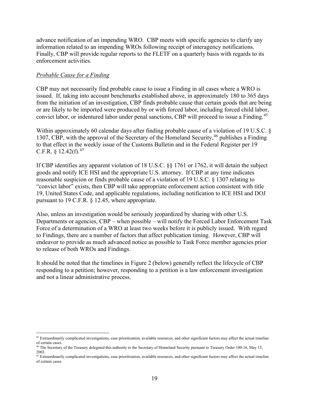advance notification of an impending WRO. CBP meets with specific agencies to clarify any information related to an impending WROs following receipt of interagency notifications. Finally, CBP will provide regular reports to the FLETF on a quarterly basis with regards to its enforcement activities.

#### *Probable Cause for a Finding*

CBP may not necessarily find probable cause to issue a Finding in all cases where a WRO is issued. If, taking into account benchmarks established above, in approximately 180 to 365 days from the initiation of an investigation, CBP finds probable cause that certain goods that are being or are likely to be imported were produced by or with forced labor, including forced child labor, convict labor, or indentured labor under penal sanctions, CBP will proceed to issue a Finding.<sup>[45](#page-19-0)</sup>

Within approximately 60 calendar days after finding probable cause of a violation of 19 U.S.C. § 1307, CBP, with the approval of the Secretary of the Homeland Security, [46](#page-19-1) publishes a Finding to that effect in the weekly issue of the Customs Bulletin and in the Federal Register per 19 C.F.R.  $\frac{12.42(f)}{12.42(f)}$ 

If CBP identifies any apparent violation of 18 U.S.C. §§ 1761 or 1762, it will detain the subject goods and notify ICE HSI and the appropriate U.S. attorney. If CBP at any time indicates reasonable suspicion or finds probable cause of a violation of 19 U.S.C. § 1307 relating to "convict labor" exists, then CBP will take appropriate enforcement action consistent with title 19, United States Code, and applicable regulations, including notification to ICE HSI and DOJ pursuant to 19 C.F.R. § 12.45, where appropriate.

Also, unless an investigation would be seriously jeopardized by sharing with other U.S. Departments or agencies, CBP – when possible – will notify the Forced Labor Enforcement Task Force of a determination of a WRO at least two weeks before it is publicly issued. With regard to Findings, there are a number of factors that affect publication timing. However, CBP will endeavor to provide as much advanced notice as possible to Task Force member agencies prior to release of both WROs and Findings.

It should be noted that the timelines in Figure 2 (below) generally reflect the lifecycle of CBP responding to a petition; however, responding to a petition is a law enforcement investigation and not a linear administrative process.

<span id="page-19-0"></span><sup>&</sup>lt;sup>45</sup> Extraordinarily complicated investigations, case prioritization, available resources, and other significant factors may affect the actual timeline of certain cases.

<span id="page-19-1"></span><sup>46</sup> The Secretary of the Treasury delegated this authority to the Secretary of Homeland Security pursuant to Treasury Order 100-16, May 15, 2003.

<span id="page-19-2"></span><sup>&</sup>lt;sup>47</sup> Extraordinarily complicated investigations, case prioritization, available resources, and other significant factors may affect the actual timeline of certain cases.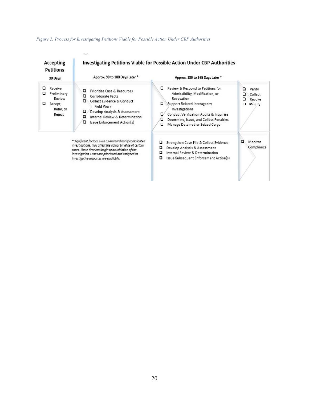#### *Figure 2: Process for Investigating Petitions Viable for Possible Action Under CBP Authorities*

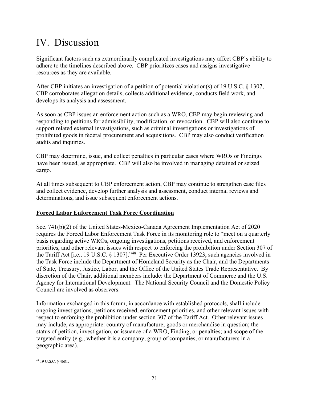# IV. Discussion

Significant factors such as extraordinarily complicated investigations may affect CBP's ability to adhere to the timelines described above. CBP prioritizes cases and assigns investigative resources as they are available.

After CBP initiates an investigation of a petition of potential violation(s) of 19 U.S.C. § 1307, CBP corroborates allegation details, collects additional evidence, conducts field work, and develops its analysis and assessment.

As soon as CBP issues an enforcement action such as a WRO, CBP may begin reviewing and responding to petitions for admissibility, modification, or revocation. CBP will also continue to support related external investigations, such as criminal investigations or investigations of prohibited goods in federal procurement and acquisitions. CBP may also conduct verification audits and inquiries.

CBP may determine, issue, and collect penalties in particular cases where WROs or Findings have been issued, as appropriate. CBP will also be involved in managing detained or seized cargo.

At all times subsequent to CBP enforcement action, CBP may continue to strengthen case files and collect evidence, develop further analysis and assessment, conduct internal reviews and determinations, and issue subsequent enforcement actions.

#### **Forced Labor Enforcement Task Force Coordination**

Sec. 741(b)(2) of the United States-Mexico-Canada Agreement Implementation Act of 2020 requires the Forced Labor Enforcement Task Force in its monitoring role to "meet on a quarterly basis regarding active WROs, ongoing investigations, petitions received, and enforcement priorities, and other relevant issues with respect to enforcing the prohibition under Section 307 of the Tariff Act [i.e., 19 U.S.C. § 1307]."[48](#page-21-0) Per Executive Order 13923, such agencies involved in the Task Force include the Department of Homeland Security as the Chair, and the Departments of State, Treasury, Justice, Labor, and the Office of the United States Trade Representative. By discretion of the Chair, additional members include: the Department of Commerce and the U.S. Agency for International Development. The National Security Council and the Domestic Policy Council are involved as observers.

Information exchanged in this forum, in accordance with established protocols, shall include ongoing investigations, petitions received, enforcement priorities, and other relevant issues with respect to enforcing the prohibition under section 307 of the Tariff Act. Other relevant issues may include, as appropriate: country of manufacture; goods or merchandise in question; the status of petition, investigation, or issuance of a WRO, Finding, or penalties; and scope of the targeted entity (e.g., whether it is a company, group of companies, or manufacturers in a geographic area).

<span id="page-21-0"></span><sup>48</sup> 19 U.S.C. § 4681.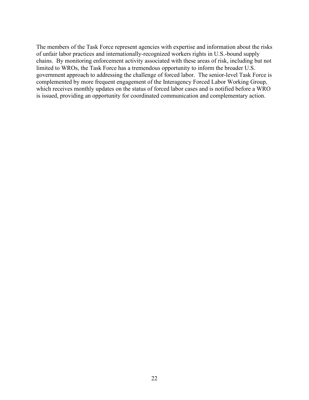The members of the Task Force represent agencies with expertise and information about the risks of unfair labor practices and internationally-recognized workers rights in U.S.-bound supply chains. By monitoring enforcement activity associated with these areas of risk, including but not limited to WROs, the Task Force has a tremendous opportunity to inform the broader U.S. government approach to addressing the challenge of forced labor. The senior-level Task Force is complemented by more frequent engagement of the Interagency Forced Labor Working Group, which receives monthly updates on the status of forced labor cases and is notified before a WRO is issued, providing an opportunity for coordinated communication and complementary action.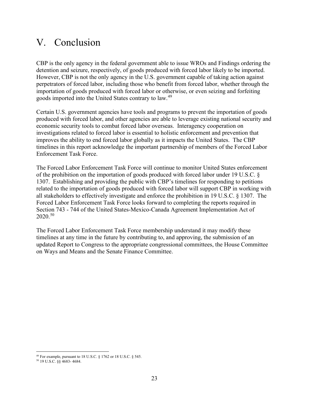### V. Conclusion

CBP is the only agency in the federal government able to issue WROs and Findings ordering the detention and seizure, respectively, of goods produced with forced labor likely to be imported. However, CBP is not the only agency in the U.S. government capable of taking action against perpetrators of forced labor, including those who benefit from forced labor, whether through the importation of goods produced with forced labor or otherwise, or even seizing and forfeiting goods imported into the United States contrary to law.[49](#page-23-0)

Certain U.S. government agencies have tools and programs to prevent the importation of goods produced with forced labor, and other agencies are able to leverage existing national security and economic security tools to combat forced labor overseas. Interagency cooperation on investigations related to forced labor is essential to holistic enforcement and prevention that improves the ability to end forced labor globally as it impacts the United States. The CBP timelines in this report acknowledge the important partnership of members of the Forced Labor Enforcement Task Force.

The Forced Labor Enforcement Task Force will continue to monitor United States enforcement of the prohibition on the importation of goods produced with forced labor under 19 U.S.C. § 1307. Establishing and providing the public with CBP's timelines for responding to petitions related to the importation of goods produced with forced labor will support CBP in working with all stakeholders to effectively investigate and enforce the prohibition in 19 U.S.C. § 1307. The Forced Labor Enforcement Task Force looks forward to completing the reports required in Section 743 - 744 of the United States-Mexico-Canada Agreement Implementation Act of 2020.[50](#page-23-1) 

The Forced Labor Enforcement Task Force membership understand it may modify these timelines at any time in the future by contributing to, and approving, the submission of an updated Report to Congress to the appropriate congressional committees, the House Committee on Ways and Means and the Senate Finance Committee.

<sup>49</sup> For example, pursuant to 18 U.S.C. § 1762 or 18 U.S.C. § 545.

<span id="page-23-1"></span><span id="page-23-0"></span><sup>50</sup> 19 U.S.C. §§ 4683- 4684.